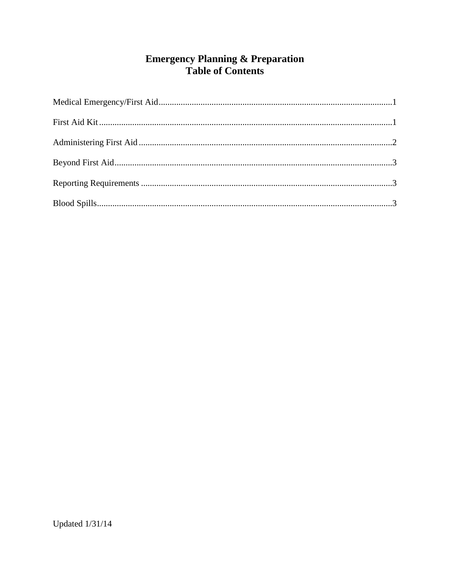# **Emergency Planning & Preparation<br>Table of Contents**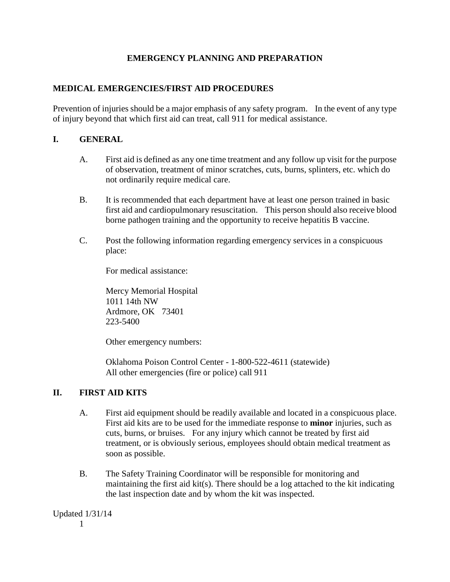## **EMERGENCY PLANNING AND PREPARATION**

#### **MEDICAL EMERGENCIES/FIRST AID PROCEDURES**

Prevention of injuries should be a major emphasis of any safety program. In the event of any type of injury beyond that which first aid can treat, call 911 for medical assistance.

### **I. GENERAL**

- A. First aid is defined as any one time treatment and any follow up visit for the purpose of observation, treatment of minor scratches, cuts, burns, splinters, etc. which do not ordinarily require medical care.
- B. It is recommended that each department have at least one person trained in basic first aid and cardiopulmonary resuscitation. This person should also receive blood borne pathogen training and the opportunity to receive hepatitis B vaccine.
- C. Post the following information regarding emergency services in a conspicuous place:

For medical assistance:

Mercy Memorial Hospital 1011 14th NW Ardmore, OK 73401 223-5400

Other emergency numbers:

Oklahoma Poison Control Center - 1-800-522-4611 (statewide) All other emergencies (fire or police) call 911

#### **II. FIRST AID KITS**

- A. First aid equipment should be readily available and located in a conspicuous place. First aid kits are to be used for the immediate response to **minor** injuries, such as cuts, burns, or bruises. For any injury which cannot be treated by first aid treatment, or is obviously serious, employees should obtain medical treatment as soon as possible.
- B. The Safety Training Coordinator will be responsible for monitoring and maintaining the first aid kit(s). There should be a log attached to the kit indicating the last inspection date and by whom the kit was inspected.

Updated 1/31/14 1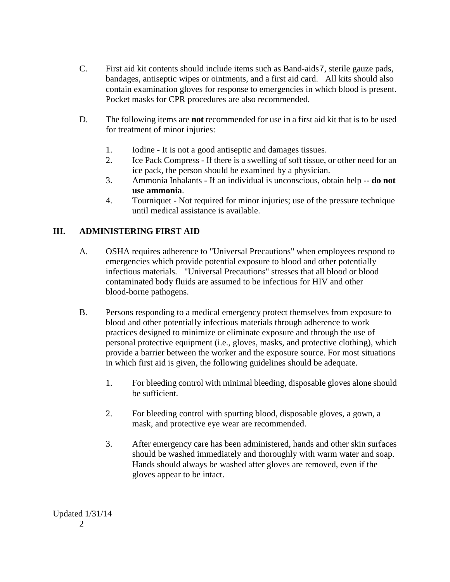- C. First aid kit contents should include items such as Band-aids7, sterile gauze pads, bandages, antiseptic wipes or ointments, and a first aid card. All kits should also contain examination gloves for response to emergencies in which blood is present. Pocket masks for CPR procedures are also recommended.
- D. The following items are **not** recommended for use in a first aid kit that is to be used for treatment of minor injuries:
	- 1. Iodine It is not a good antiseptic and damages tissues.
	- 2. Ice Pack Compress If there is a swelling of soft tissue, or other need for an ice pack, the person should be examined by a physician.
	- 3. Ammonia Inhalants If an individual is unconscious, obtain help -- **do not use ammonia**.
	- 4. Tourniquet Not required for minor injuries; use of the pressure technique until medical assistance is available.

# **III. ADMINISTERING FIRST AID**

- A. OSHA requires adherence to "Universal Precautions" when employees respond to emergencies which provide potential exposure to blood and other potentially infectious materials. "Universal Precautions" stresses that all blood or blood contaminated body fluids are assumed to be infectious for HIV and other blood-borne pathogens.
- B. Persons responding to a medical emergency protect themselves from exposure to blood and other potentially infectious materials through adherence to work practices designed to minimize or eliminate exposure and through the use of personal protective equipment (i.e., gloves, masks, and protective clothing), which provide a barrier between the worker and the exposure source. For most situations in which first aid is given, the following guidelines should be adequate.
	- 1. For bleeding control with minimal bleeding, disposable gloves alone should be sufficient.
	- 2. For bleeding control with spurting blood, disposable gloves, a gown, a mask, and protective eye wear are recommended.
	- 3. After emergency care has been administered, hands and other skin surfaces should be washed immediately and thoroughly with warm water and soap. Hands should always be washed after gloves are removed, even if the gloves appear to be intact.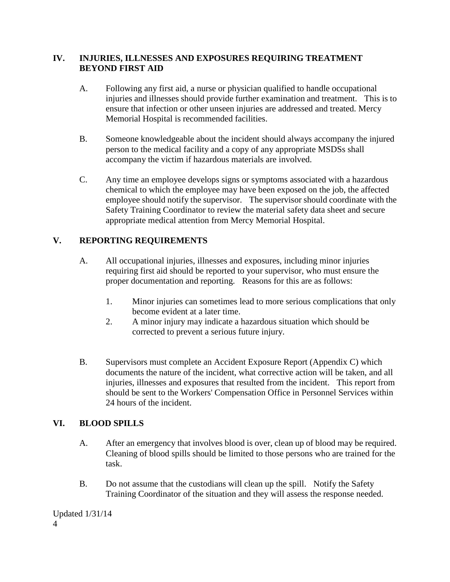#### **IV. INJURIES, ILLNESSES AND EXPOSURES REQUIRING TREATMENT BEYOND FIRST AID**

- A. Following any first aid, a nurse or physician qualified to handle occupational injuries and illnesses should provide further examination and treatment. This is to ensure that infection or other unseen injuries are addressed and treated. Mercy Memorial Hospital is recommended facilities.
- B. Someone knowledgeable about the incident should always accompany the injured person to the medical facility and a copy of any appropriate MSDSs shall accompany the victim if hazardous materials are involved.
- C. Any time an employee develops signs or symptoms associated with a hazardous chemical to which the employee may have been exposed on the job, the affected employee should notify the supervisor. The supervisor should coordinate with the Safety Training Coordinator to review the material safety data sheet and secure appropriate medical attention from Mercy Memorial Hospital.

# **V. REPORTING REQUIREMENTS**

- A. All occupational injuries, illnesses and exposures, including minor injuries requiring first aid should be reported to your supervisor, who must ensure the proper documentation and reporting. Reasons for this are as follows:
	- 1. Minor injuries can sometimes lead to more serious complications that only become evident at a later time.
	- 2. A minor injury may indicate a hazardous situation which should be corrected to prevent a serious future injury.
- B. Supervisors must complete an Accident Exposure Report (Appendix C) which documents the nature of the incident, what corrective action will be taken, and all injuries, illnesses and exposures that resulted from the incident. This report from should be sent to the Workers' Compensation Office in Personnel Services within 24 hours of the incident.

# **VI. BLOOD SPILLS**

- A. After an emergency that involves blood is over, clean up of blood may be required. Cleaning of blood spills should be limited to those persons who are trained for the task.
- B. Do not assume that the custodians will clean up the spill. Notify the Safety Training Coordinator of the situation and they will assess the response needed.

Updated 1/31/14 4